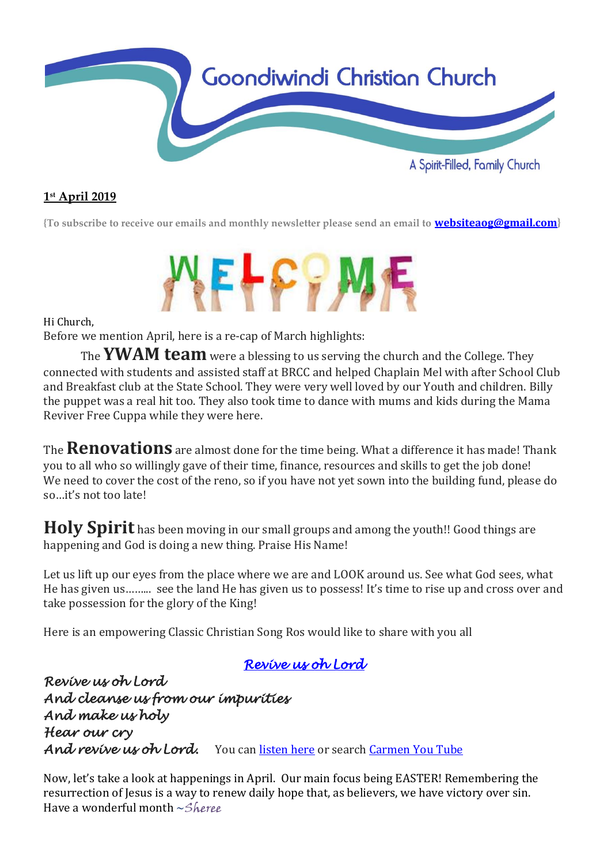

## **1 st April 2019**

**{To subscribe to receive our emails and monthly newsletter please send an email to [websiteaog@gmail.com](mailto:websiteaog@gmail.com)}**



Hi Church,

Before we mention April, here is a re-cap of March highlights:

The **YWAM team** were a blessing to us serving the church and the College. They connected with students and assisted staff at BRCC and helped Chaplain Mel with after School Club and Breakfast club at the State School. They were very well loved by our Youth and children. Billy the puppet was a real hit too. They also took time to dance with mums and kids during the Mama Reviver Free Cuppa while they were here.

The **Renovations** are almost done for the time being. What a difference it has made! Thank you to all who so willingly gave of their time, finance, resources and skills to get the job done! We need to cover the cost of the reno, so if you have not yet sown into the building fund, please do so…it's not too late!

Holy Spirit has been moving in our small groups and among the youth!! Good things are happening and God is doing a new thing. Praise His Name!

Let us lift up our eyes from the place where we are and LOOK around us. See what God sees, what He has given us……... see the land He has given us to possess! It's time to rise up and cross over and take possession for the glory of the King!

Here is an empowering Classic Christian Song Ros would like to share with you all

## *[Revive us oh Lord](https://youtu.be/VM0PQZf2ym8)*

*Revive us oh Lord And cleanse us from our impurities And make us holy Hear our cry And revive us oh Lord.* You ca[n listen here](https://youtu.be/VM0PQZf2ym8) or search [Carmen You Tube](https://youtu.be/VM0PQZf2ym8)

Now, let's take a look at happenings in April. Our main focus being EASTER! Remembering the resurrection of Jesus is a way to renew daily hope that, as believers, we have victory over sin. Have a wonderful month ~Sheree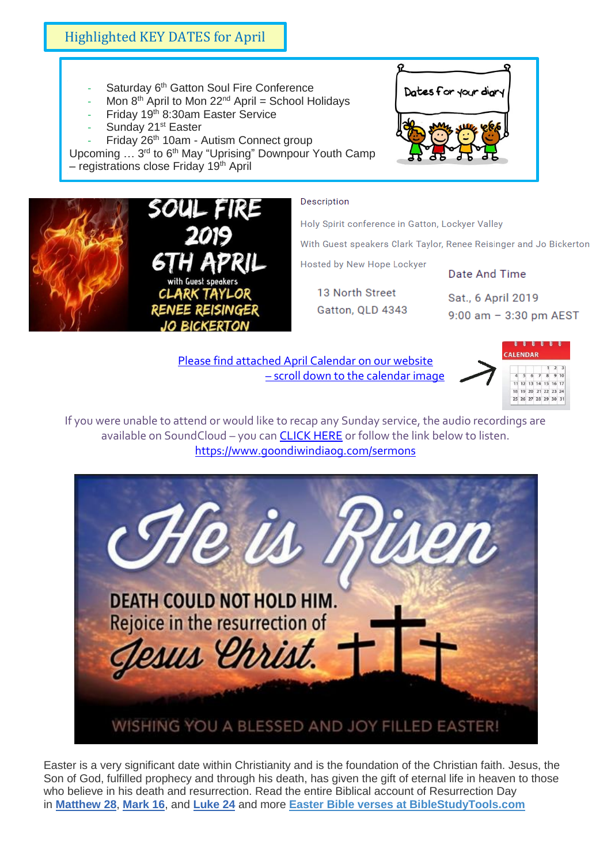# Highlighted KEY DATES for April

- Saturday 6<sup>th</sup> Gatton Soul Fire Conference
- Mon  $8<sup>th</sup>$  April to Mon 22<sup>nd</sup> April = School Holidays
- Friday 19th 8:30am Easter Service
- Sunday 21<sup>st</sup> Easter

- Friday 26<sup>th</sup> 10am - Autism Connect group Upcoming ... 3<sup>rd</sup> to 6<sup>th</sup> May "Uprising" Downpour Youth Camp

– registrations close Friday 19th April



#### Description

Holy Spirit conference in Gatton, Lockyer Valley

With Guest speakers Clark Taylor, Renee Reisinger and Jo Bickerton

Hosted by New Hope Lockyer

13 North Street Gatton, QLD 4343

Sat., 6 April 2019 9:00 am - 3:30 pm AEST

Date And Time

[Please find attached April Calendar](https://www.goondiwindiaog.com/) on our website – scroll down to the calendar image



If you were unable to attend or would like to recap any Sunday service, the audio recordings are available on SoundCloud – you ca[n CLICK HERE](https://soundcloud.com/goondiwindi-aog) or follow the link below to listen. <https://www.goondiwindiaog.com/sermons>



Easter is a very significant date within Christianity and is the foundation of the Christian faith. Jesus, the Son of God, fulfilled prophecy and through his death, has given the gift of eternal life in heaven to those who believe in his death and resurrection. Read the entire Biblical account of Resurrection Day in **[Matthew 28](https://www.biblestudytools.com/matthew/28.html)**, **[Mark 16](https://www.biblestudytools.com/mark/16.html)**, and **[Luke 24](https://www.biblestudytools.com/luke/24.html)** and more **[Easter Bible verses at BibleStudyTools.com](https://www.biblestudytools.com/topical-verses/easter-bible-verses/)**

![](_page_1_Picture_19.jpeg)